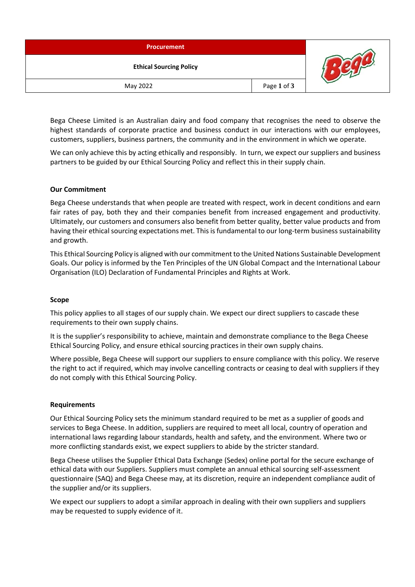| <b>Procurement</b>             |             |  |
|--------------------------------|-------------|--|
| <b>Ethical Sourcing Policy</b> |             |  |
| May 2022                       | Page 1 of 3 |  |

Bega Cheese Limited is an Australian dairy and food company that recognises the need to observe the highest standards of corporate practice and business conduct in our interactions with our employees, customers, suppliers, business partners, the community and in the environment in which we operate.

We can only achieve this by acting ethically and responsibly. In turn, we expect our suppliers and business partners to be guided by our Ethical Sourcing Policy and reflect this in their supply chain.

## **Our Commitment**

Bega Cheese understands that when people are treated with respect, work in decent conditions and earn fair rates of pay, both they and their companies benefit from increased engagement and productivity. Ultimately, our customers and consumers also benefit from better quality, better value products and from having their ethical sourcing expectations met. This is fundamental to our long-term business sustainability and growth.

This Ethical Sourcing Policy is aligned with our commitment to the United Nations Sustainable Development Goals. Our policy is informed by the Ten Principles of the UN Global Compact and the International Labour Organisation (ILO) Declaration of Fundamental Principles and Rights at Work.

## **Scope**

This policy applies to all stages of our supply chain. We expect our direct suppliers to cascade these requirements to their own supply chains.

It is the supplier's responsibility to achieve, maintain and demonstrate compliance to the Bega Cheese Ethical Sourcing Policy, and ensure ethical sourcing practices in their own supply chains.

Where possible, Bega Cheese will support our suppliers to ensure compliance with this policy. We reserve the right to act if required, which may involve cancelling contracts or ceasing to deal with suppliers if they do not comply with this Ethical Sourcing Policy.

## **Requirements**

Our Ethical Sourcing Policy sets the minimum standard required to be met as a supplier of goods and services to Bega Cheese. In addition, suppliers are required to meet all local, country of operation and international laws regarding labour standards, health and safety, and the environment. Where two or more conflicting standards exist, we expect suppliers to abide by the stricter standard.

Bega Cheese utilises the Supplier Ethical Data Exchange (Sedex) online portal for the secure exchange of ethical data with our Suppliers. Suppliers must complete an annual ethical sourcing self-assessment questionnaire (SAQ) and Bega Cheese may, at its discretion, require an independent compliance audit of the supplier and/or its suppliers.

We expect our suppliers to adopt a similar approach in dealing with their own suppliers and suppliers may be requested to supply evidence of it.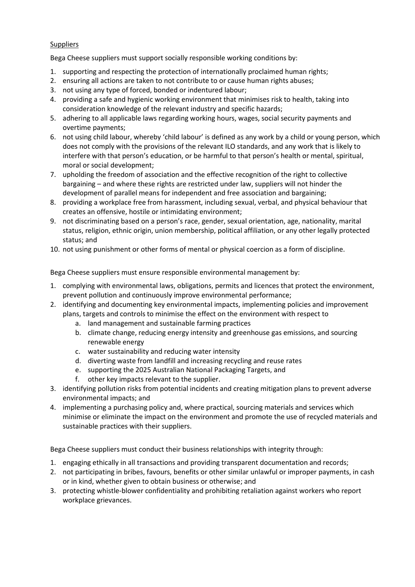# **Suppliers**

Bega Cheese suppliers must support socially responsible working conditions by:

- 1. supporting and respecting the protection of internationally proclaimed human rights;
- 2. ensuring all actions are taken to not contribute to or cause human rights abuses;
- 3. not using any type of forced, bonded or indentured labour;
- 4. providing a safe and hygienic working environment that minimises risk to health, taking into consideration knowledge of the relevant industry and specific hazards;
- 5. adhering to all applicable laws regarding working hours, wages, social security payments and overtime payments;
- 6. not using child labour, whereby 'child labour' is defined as any work by a child or young person, which does not comply with the provisions of the relevant ILO standards, and any work that is likely to interfere with that person's education, or be harmful to that person's health or mental, spiritual, moral or social development;
- 7. upholding the freedom of association and the effective recognition of the right to collective bargaining – and where these rights are restricted under law, suppliers will not hinder the development of parallel means for independent and free association and bargaining;
- 8. providing a workplace free from harassment, including sexual, verbal, and physical behaviour that creates an offensive, hostile or intimidating environment;
- 9. not discriminating based on a person's race, gender, sexual orientation, age, nationality, marital status, religion, ethnic origin, union membership, political affiliation, or any other legally protected status; and
- 10. not using punishment or other forms of mental or physical coercion as a form of discipline.

Bega Cheese suppliers must ensure responsible environmental management by:

- 1. complying with environmental laws, obligations, permits and licences that protect the environment, prevent pollution and continuously improve environmental performance;
- 2. identifying and documenting key environmental impacts, implementing policies and improvement plans, targets and controls to minimise the effect on the environment with respect to
	- a. land management and sustainable farming practices
	- b. climate change, reducing energy intensity and greenhouse gas emissions, and sourcing renewable energy
	- c. water sustainability and reducing water intensity
	- d. diverting waste from landfill and increasing recycling and reuse rates
	- e. supporting the 2025 Australian National Packaging Targets, and
	- f. other key impacts relevant to the supplier.
- 3. identifying pollution risks from potential incidents and creating mitigation plans to prevent adverse environmental impacts; and
- 4. implementing a purchasing policy and, where practical, sourcing materials and services which minimise or eliminate the impact on the environment and promote the use of recycled materials and sustainable practices with their suppliers.

Bega Cheese suppliers must conduct their business relationships with integrity through:

- 1. engaging ethically in all transactions and providing transparent documentation and records;
- 2. not participating in bribes, favours, benefits or other similar unlawful or improper payments, in cash or in kind, whether given to obtain business or otherwise; and
- 3. protecting whistle-blower confidentiality and prohibiting retaliation against workers who report workplace grievances.